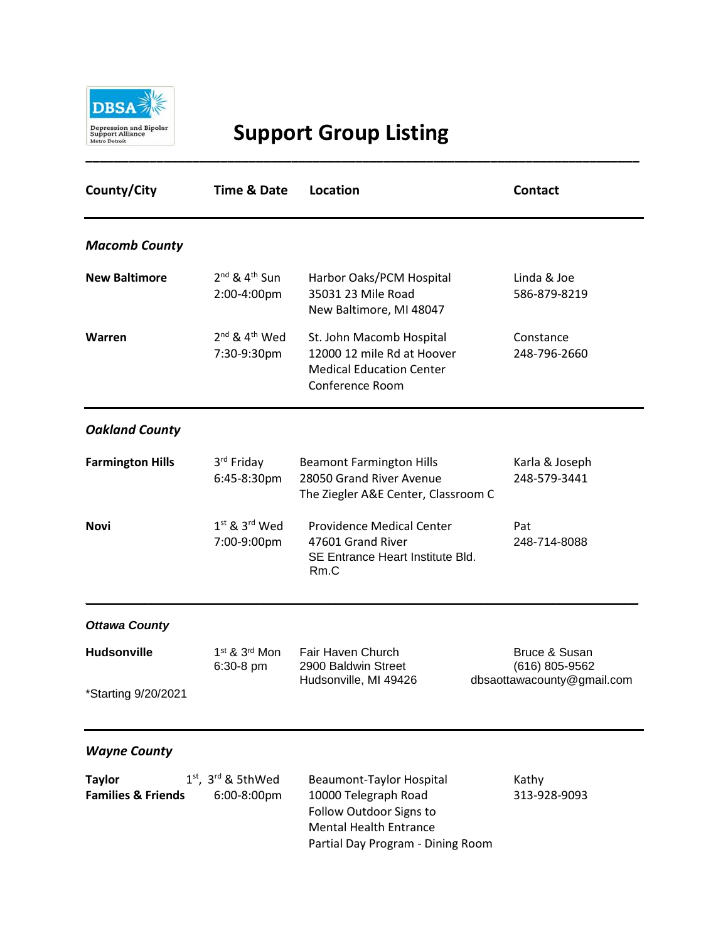

## **Support Group Listing**

| County/City                                    | <b>Time &amp; Date</b>                             | <b>Location</b>                                                                                              | <b>Contact</b>                  |
|------------------------------------------------|----------------------------------------------------|--------------------------------------------------------------------------------------------------------------|---------------------------------|
| <b>Macomb County</b>                           |                                                    |                                                                                                              |                                 |
| <b>New Baltimore</b>                           | $2nd$ & 4 <sup>th</sup> Sun<br>2:00-4:00pm         | Harbor Oaks/PCM Hospital<br>35031 23 Mile Road<br>New Baltimore, MI 48047                                    | Linda & Joe<br>586-879-8219     |
| Warren                                         | $2^{nd}$ & $4^{th}$ Wed<br>7:30-9:30pm             | St. John Macomb Hospital<br>12000 12 mile Rd at Hoover<br><b>Medical Education Center</b><br>Conference Room | Constance<br>248-796-2660       |
| <b>Oakland County</b>                          |                                                    |                                                                                                              |                                 |
| <b>Farmington Hills</b>                        | 3rd Friday<br>6:45-8:30pm                          | <b>Beamont Farmington Hills</b><br>28050 Grand River Avenue<br>The Ziegler A&E Center, Classroom C           | Karla & Joseph<br>248-579-3441  |
| Novi                                           | $1st$ & $3rd$ Wed<br>7:00-9:00pm                   | Providence Medical Center<br>47601 Grand River<br>SE Entrance Heart Institute Bld.<br>Rm.C                   | Pat<br>248-714-8088             |
| <b>Ottawa County</b>                           |                                                    |                                                                                                              |                                 |
| <b>Hudsonville</b>                             | 1 <sup>st</sup> & 3 <sup>rd</sup> Mon<br>6:30-8 pm | Fair Haven Church<br>2900 Baldwin Street                                                                     | Bruce & Susan<br>(616) 805-9562 |
| *Starting 9/20/2021                            |                                                    | Hudsonville, MI 49426                                                                                        | dbsaottawacounty@gmail.com      |
| <b>Wayne County</b>                            |                                                    |                                                                                                              |                                 |
| <b>Taylor</b><br><b>Families &amp; Friends</b> | $1st$ , $3rd$ & 5thWed<br>6:00-8:00pm              | <b>Beaumont-Taylor Hospital</b><br>10000 Telegraph Road<br>Follow Outdoor Signs to                           | Kathy<br>313-928-9093           |

Mental Health Entrance

Partial Day Program - Dining Room